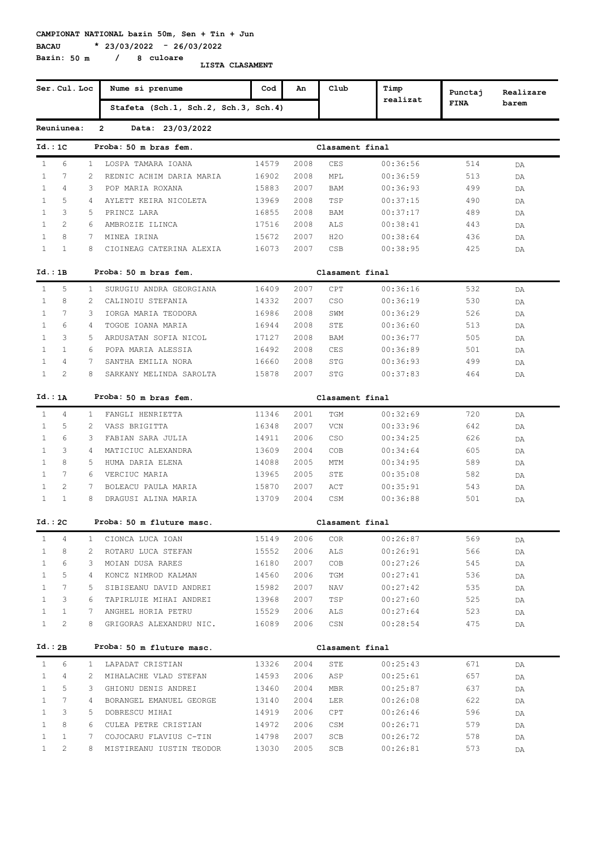**CAMPIONAT NATIONAL bazin 50m, Sen + Tin + Jun**

**BACAU \* 23/03/2022 - 26/03/2022**

**Bazin: 50 m / 8 culoare**

**LISTA CLASAMENT**

|              | Ser. Cul. Loc   |                | Nume si prenume                      | Cod   | An   | Club             | Timp     | Punctaj     | Realizare |
|--------------|-----------------|----------------|--------------------------------------|-------|------|------------------|----------|-------------|-----------|
|              |                 |                | Stafeta (Sch.1, Sch.2, Sch.3, Sch.4) |       |      |                  | realizat | <b>FINA</b> | barem     |
|              | Reuniunea:      |                | $\overline{2}$<br>Data: 23/03/2022   |       |      |                  |          |             |           |
| Id.:1C       |                 |                | Proba: 50 m bras fem.                |       |      | Clasament final  |          |             |           |
| $\mathbf{1}$ | 6               | $\mathbf{1}$   | LOSPA TAMARA IOANA                   | 14579 | 2008 | CES              | 00:36:56 | 514         | DA        |
| $\mathbf{1}$ | 7               | 2              | REDNIC ACHIM DARIA MARIA             | 16902 | 2008 | MPL              | 00:36:59 | 513         | DA        |
| $\mathbf{1}$ | 4               | 3              | POP MARIA ROXANA                     | 15883 | 2007 | BAM              | 00:36:93 | 499         | DA        |
| $\mathbf{1}$ | 5               | 4              | AYLETT KEIRA NICOLETA                | 13969 | 2008 | TSP              | 00:37:15 | 490         | DA        |
| $\mathbf{1}$ | 3               | 5              | PRINCZ LARA                          | 16855 | 2008 | BAM              | 00:37:17 | 489         | DA        |
| $\mathbf{1}$ | $\overline{2}$  | 6              | AMBROZIE ILINCA                      | 17516 | 2008 | ALS              | 00:38:41 | 443         | DA        |
| 1            | 8               | 7              | MINEA IRINA                          | 15672 | 2007 | H <sub>2</sub> O | 00:38:64 | 436         | DA        |
| $\mathbf{1}$ | $\mathbf{1}$    | 8              | CIOINEAG CATERINA ALEXIA             | 16073 | 2007 | CSB              | 00:38:95 | 425         | DA        |
| Id.:1B       |                 |                | Proba: 50 m bras fem.                |       |      | Clasament final  |          |             |           |
| $\mathbf{1}$ | 5               | $\mathbf{1}$   | SURUGIU ANDRA GEORGIANA              | 16409 | 2007 | CPT              | 00:36:16 | 532         | DA        |
| $\mathbf{1}$ | 8               | 2              | CALINOIU STEFANIA                    | 14332 | 2007 | <b>CSO</b>       | 00:36:19 | 530         | DA        |
| $\mathbf{1}$ | 7               | 3              | IORGA MARIA TEODORA                  | 16986 | 2008 | SWM              | 00:36:29 | 526         | DA        |
| $\mathbf{1}$ | 6               | 4              | TOGOE IOANA MARIA                    | 16944 | 2008 | STE              | 00:36:60 | 513         | DA        |
| $\mathbf{1}$ | 3               | 5              | ARDUSATAN SOFIA NICOL                | 17127 | 2008 | BAM              | 00:36:77 | 505         | DA        |
| $\mathbf{1}$ | $\mathbf{1}$    | 6              | POPA MARIA ALESSIA                   | 16492 | 2008 | CES              | 00:36:89 | 501         | DA        |
| $\mathbf{1}$ | 4               | 7              | SANTHA EMILIA NORA                   | 16660 | 2008 | STG              | 00:36:93 | 499         | DA        |
| $\mathbf{1}$ | 2               | 8              | SARKANY MELINDA SAROLTA              | 15878 | 2007 | STG              | 00:37:83 | 464         | DA        |
| Id.: 1A      |                 |                | Proba: 50 m bras fem.                |       |      | Clasament final  |          |             |           |
| $\mathbf{1}$ | 4               | $\mathbf{1}$   | FANGLI HENRIETTA                     | 11346 | 2001 | TGM              | 00:32:69 | 720         | DA        |
| $\mathbf{1}$ | 5               | 2              | VASS BRIGITTA                        | 16348 | 2007 | VCN              | 00:33:96 | 642         | DA        |
| $\mathbf{1}$ | 6               | 3              | FABIAN SARA JULIA                    | 14911 | 2006 | <b>CSO</b>       | 00:34:25 | 626         | DA        |
| $\mathbf{1}$ | 3               | 4              | MATICIUC ALEXANDRA                   | 13609 | 2004 | <b>COB</b>       | 00:34:64 | 605         | DA        |
| $\mathbf{1}$ | 8               | 5.             | HUMA DARIA ELENA                     | 14088 | 2005 | MTM              | 00:34:95 | 589         | DA        |
| $\mathbf{1}$ | 7               | 6              | VERCIUC MARIA                        | 13965 | 2005 | STE              | 00:35:08 | 582         | DA        |
| $\mathbf{1}$ | 2               | 7              | BOLEACU PAULA MARIA                  | 15870 | 2007 | ACT              | 00:35:91 | 543         | DA        |
| $\mathbf{1}$ | $\mathbf{1}$    | 8              | DRAGUSI ALINA MARIA                  | 13709 | 2004 | CSM              | 00:36:88 | 501         | DA        |
| Id.:2C       |                 |                | Proba: 50 m fluture masc.            |       |      | Clasament final  |          |             |           |
| $\mathbf{1}$ | 4               | $\mathbf{1}$   | CIONCA LUCA IOAN                     | 15149 | 2006 | <b>COR</b>       | 00:26:87 | 569         | DA        |
| $\mathbf{1}$ | 8               | 2              | ROTARU LUCA STEFAN                   | 15552 | 2006 | ALS              | 00:26:91 | 566         | DA        |
| $\mathbf{1}$ | 6               | 3              | MOIAN DUSA RARES                     | 16180 | 2007 | COB              | 00:27:26 | 545         | DA        |
| $\mathbf{1}$ | 5               | 4              | KONCZ NIMROD KALMAN                  | 14560 | 2006 | TGM              | 00:27:41 | 536         | DA        |
| $\mathbf{1}$ | $7^{\circ}$     | 5              | SIBISEANU DAVID ANDREI               | 15982 | 2007 | NAV              | 00:27:42 | 535         | DA        |
| $\mathbf{1}$ | 3               | 6              | TAPIRLUIE MIHAI ANDREI               | 13968 | 2007 | TSP              | 00:27:60 | 525         | DA        |
| $\mathbf{1}$ | $\mathbf{1}$    | $7^{\circ}$    | ANGHEL HORIA PETRU                   | 15529 | 2006 | ALS              | 00:27:64 | 523         | DA        |
| $\mathbf{1}$ | $\overline{2}$  | 8              | GRIGORAS ALEXANDRU NIC.              | 16089 | 2006 | CSN              | 00:28:54 | 475         | DA        |
| Id.:2B       |                 |                | Proba: 50 m fluture masc.            |       |      | Clasament final  |          |             |           |
| $\mathbf{1}$ | 6               |                | 1 LAPADAT CRISTIAN                   | 13326 | 2004 | STE              | 00:25:43 | 671         | DA        |
| $\mathbf{1}$ | 4               | 2              | MIHALACHE VLAD STEFAN                | 14593 | 2006 | ASP              | 00:25:61 | 657         | DA        |
| $\mathbf{1}$ | 5               | 3              | GHIONU DENIS ANDREI                  | 13460 | 2004 | MBR              | 00:25:87 | 637         | DA        |
| $\mathbf{1}$ | $7\phantom{.0}$ | $\overline{4}$ | BORANGEL EMANUEL GEORGE              | 13140 | 2004 | LER              | 00:26:08 | 622         | DA        |
| $\mathbf{1}$ | 3               | 5              | DOBRESCU MIHAI                       | 14919 | 2006 | CPT              | 00:26:46 | 596         | DA        |
| $\mathbf{1}$ | 8               | 6              | CULEA PETRE CRISTIAN                 | 14972 | 2006 | CSM              | 00:26:71 | 579         | DA        |
| $\mathbf{1}$ | $\mathbf{1}$    | 7              | COJOCARU FLAVIUS C-TIN               | 14798 | 2007 | SCB              | 00:26:72 | 578         | DA        |
| $\mathbf{1}$ | 2               | 8              | MISTIREANU IUSTIN TEODOR             | 13030 | 2005 | SCB              | 00:26:81 | 573         | DA        |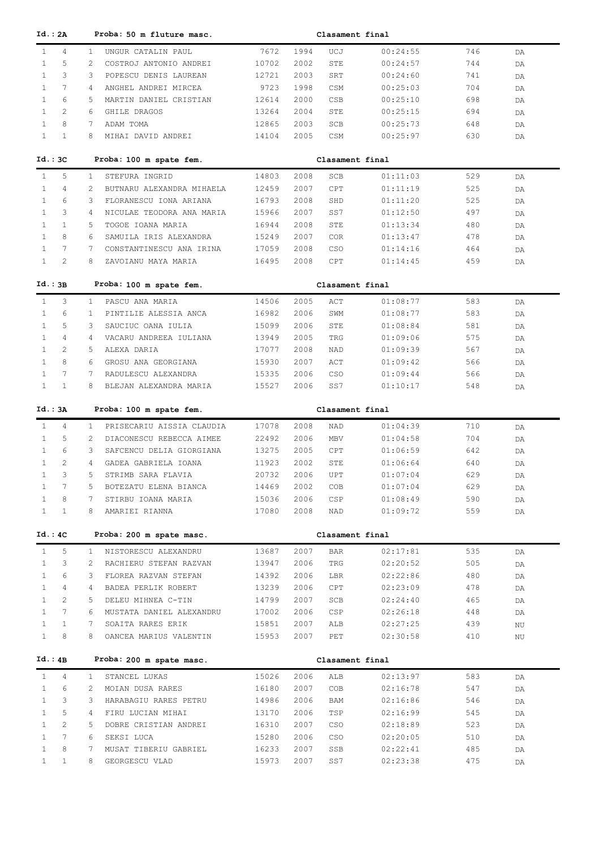| Id.: 2A                      |                       |                 | Proba: 50 m fluture masc.                   |                |              | Clasament final |                      |            |          |
|------------------------------|-----------------------|-----------------|---------------------------------------------|----------------|--------------|-----------------|----------------------|------------|----------|
| $\mathbf{1}$                 | $\overline{4}$        | $\mathbf{1}$    | UNGUR CATALIN PAUL                          | 7672           | 1994         | UCJ             | 00:24:55             | 746        | DA       |
| $\mathbf{1}$                 | 5                     | 2               | COSTROJ ANTONIO ANDREI                      | 10702          | 2002         | STE             | 00:24:57             | 744        | DA       |
| $\mathbf{1}$                 | 3                     | 3               | POPESCU DENIS LAUREAN                       | 12721          | 2003         | SRT             | 00:24:60             | 741        | DA       |
| $\mathbf{1}$                 | $7\overline{ }$       | 4               | ANGHEL ANDREI MIRCEA                        | 9723           | 1998         | CSM             | 00:25:03             | 704        | DA       |
| $\mathbf{1}$                 | 6                     | 5               | MARTIN DANIEL CRISTIAN                      | 12614          | 2000         | CSB             | 00:25:10             | 698        | DA       |
| $\mathbf{1}$                 | $\overline{2}$        | 6               | GHILE DRAGOS                                | 13264          | 2004         | STE             | 00:25:15             | 694        | DA       |
| $\mathbf{1}$                 | 8                     | 7               | ADAM TOMA                                   | 12865          | 2003         | SCB             | 00:25:73             | 648        | DA       |
| $\mathbf{1}$                 | $\mathbf{1}$          | 8               | MIHAI DAVID ANDREI                          | 14104          | 2005         | CSM             | 00:25:97             | 630        | DA       |
| $Id.:$ 3 $C$                 |                       |                 | Proba: 100 m spate fem.                     |                |              | Clasament final |                      |            |          |
|                              |                       |                 |                                             |                |              |                 |                      |            |          |
| $\mathbf{1}$                 | 5                     | $\mathbf{1}$    | STEFURA INGRID                              | 14803          | 2008         | SCB             | 01:11:03             | 529        | DA       |
| 1                            | $\overline{4}$        | 2               | BUTNARU ALEXANDRA MIHAELA                   | 12459          | 2007         | CPT             | 01:11:19             | 525        | DA       |
| $\mathbf{1}$                 | 6                     | 3               | FLORANESCU IONA ARIANA                      | 16793          | 2008         | SHD             | 01:11:20             | 525        | DA       |
| $\mathbf{1}$                 | 3                     | 4               | NICULAE TEODORA ANA MARIA                   | 15966          | 2007         | SS7             | 01:12:50             | 497        | DA       |
| $\mathbf{1}$                 | $\mathbf{1}$          | 5               | TOGOE IOANA MARIA                           | 16944          | 2008         | STE             | 01:13:34             | 480        | DA       |
| $\mathbf{1}$                 | 8                     | 6               | SAMUILA IRIS ALEXANDRA                      | 15249          | 2007         | <b>COR</b>      | 01:13:47             | 478        | DA       |
| $\mathbf{1}$                 | $7\phantom{.0}$       | 7               | CONSTANTINESCU ANA IRINA                    | 17059          | 2008         | <b>CSO</b>      | 01:14:16             | 464        | DA       |
| $\mathbf{1}$                 | $\mathbf{2}$          | 8               | ZAVOIANU MAYA MARIA                         | 16495          | 2008         | CPT             | 01:14:45             | 459        | DA       |
| Id.:3B                       |                       |                 | Proba: 100 m spate fem.                     |                |              | Clasament final |                      |            |          |
| $\mathbf{1}$                 | 3                     | $\mathbf{1}$    | PASCU ANA MARIA                             | 14506          | 2005         | ACT             | 01:08:77             | 583        | DA       |
| $\mathbf{1}$                 | 6                     | 1               | PINTILIE ALESSIA ANCA                       | 16982          | 2006         | SWM             | 01:08:77             | 583        | DA       |
| $\mathbf{1}$                 | 5                     | 3               | SAUCIUC OANA IULIA                          | 15099          | 2006         | STE             | 01:08:84             | 581        | DA       |
| $\mathbf{1}$                 | $\overline{4}$        | 4               | VACARU ANDREEA IULIANA                      | 13949          | 2005         | TRG             | 01:09:06             | 575        | DA       |
| $\mathbf{1}$                 | $\overline{2}$        | 5               | ALEXA DARIA                                 | 17077          | 2008         | NAD             | 01:09:39             | 567        | DA       |
| $\mathbf{1}$                 | 8                     | 6               | GROSU ANA GEORGIANA                         | 15930          | 2007         | ACT             | 01:09:42             | 566        | DA       |
| $\mathbf{1}$                 | $7\phantom{.0}$       | 7               | RADULESCU ALEXANDRA                         | 15335          | 2006         | <b>CSO</b>      | 01:09:44             | 566        | DA       |
| $\mathbf{1}$                 | $\mathbf{1}$          | 8               | BLEJAN ALEXANDRA MARIA                      | 15527          | 2006         | SS7             | 01:10:17             | 548        | DA       |
|                              |                       |                 |                                             |                |              |                 |                      |            |          |
|                              |                       |                 |                                             |                |              |                 |                      |            |          |
| Id.: 3A                      |                       |                 | Proba: 100 m spate fem.                     |                |              | Clasament final |                      |            |          |
| $\mathbf{1}$                 | $\overline{4}$        | $\mathbf{1}$    | PRISECARIU AISSIA CLAUDIA                   | 17078          | 2008         | NAD             | 01:04:39             | 710        | DA       |
| $\mathbf{1}$                 | 5                     | $\overline{2}$  | DIACONESCU REBECCA AIMEE                    | 22492          | 2006         | MBV             | 01:04:58             | 704        | DA       |
| $\mathbf{1}$                 | 6                     | 3               | SAFCENCU DELIA GIORGIANA                    | 13275          | 2005         | CPT             | 01:06:59             | 642        | DA       |
| 1                            | $\overline{2}$        | 4               | GADEA GABRIELA IOANA                        | 11923          | 2002         | STE             | 01:06:64             | 640        | DA       |
| 1                            | 3                     | 5.              | STRIMB SARA FLAVIA                          | 20732          | 2006         | UPT             | 01:07:04             | 629        | DA       |
|                              |                       | 5               | BOTEZATU ELENA BIANCA                       | 14469          | 2002         | COB             | 01:07:04             | 629        | DA       |
| $\mathbf{1}$                 | 8                     | 7               | STIRBU IOANA MARIA                          | 15036          | 2006         | CSP             | 01:08:49             | 590        | DA       |
| $\mathbf{1}$                 | $\mathbf{1}$          | 8               | AMARIEI RIANNA                              | 17080          | 2008         | NAD             | 01:09:72             | 559        | DA       |
| Id.: 4C                      |                       |                 |                                             |                |              | Clasament final |                      |            |          |
|                              |                       |                 | Proba: 200 m spate masc.                    |                |              |                 |                      |            |          |
| $\mathbf{1}$                 | 5                     | $\mathbf{1}$    | NISTORESCU ALEXANDRU                        | 13687          | 2007         | <b>BAR</b>      | 02:17:81             | 535        | DA       |
| $\mathbf{1}$                 | 3                     | $\overline{2}$  | RACHIERU STEFAN RAZVAN                      | 13947          | 2006         | TRG             | 02:20:52             | 505        | DA       |
| $\mathbf{1}$                 | 6                     | 3               | FLOREA RAZVAN STEFAN                        | 14392          | 2006         | LBR             | 02:22:86             | 480        | DA       |
| $\mathbf{1}$                 | $\overline{4}$        | 4               | BADEA PERLIK ROBERT                         | 13239          | 2006         | CPT             | 02:23:09             | 478        | DA       |
| $\mathbf{1}$                 | $\mathbf{2}^{\prime}$ | 5               | DELEU MIHNEA C-TIN                          | 14799          | 2007         | SCB             | 02:24:40             | 465        | DA       |
| $\mathbf{1}$                 | $7\phantom{.0}$       | 6               | MUSTATA DANIEL ALEXANDRU                    | 17002          | 2006         | CSP             | 02:26:18             | 448        | DA       |
| $\mathbf{1}$<br>$\mathbf{1}$ | $\mathbf{1}$<br>8     | 7<br>8          | SOAITA RARES ERIK<br>OANCEA MARIUS VALENTIN | 15851<br>15953 | 2007<br>2007 | ALB<br>PET      | 02:27:25<br>02:30:58 | 439<br>410 | ΝU       |
|                              |                       |                 |                                             |                |              |                 |                      |            | ΝU       |
| Id.:4B                       |                       |                 | Proba: 200 m spate masc.                    |                |              | Clasament final |                      |            |          |
| $\mathbf{1}$                 | $\overline{4}$        | $\mathbf{1}$    | STANCEL LUKAS                               | 15026          | 2006         | ALB             | 02:13:97             | 583        | DA       |
| $\mathbf{1}$                 | 6                     | $\mathbf{2}$    | MOIAN DUSA RARES                            | 16180          | 2007         | COB             | 02:16:78             | 547        | DA       |
| $\mathbf{1}$                 | 3                     | 3               | HARABAGIU RARES PETRU                       | 14986          | 2006         | BAM             | 02:16:86             | 546        | DA       |
| $\mathbf{1}$                 | 5                     | $4\overline{ }$ | FIRU LUCIAN MIHAI                           | 13170          | 2006         | TSP             | 02:16:99             | 545        | DA       |
| $\mathbf{1}$                 | $\mathbf{2}^{\prime}$ | 5               | DOBRE CRISTIAN ANDREI                       | 16310          | 2007         | CSO             | 02:18:89             | 523        | DA       |
| $\mathbf{1}$                 | $7\overline{ }$       | 6               | SEKSI LUCA                                  | 15280          | 2006         | CSO             | 02:20:05             | 510        | DA       |
| $\mathbf{1}$<br>$\mathbf{1}$ | 8<br>$\mathbf{1}$     | 7<br>8          | MUSAT TIBERIU GABRIEL<br>GEORGESCU VLAD     | 16233<br>15973 | 2007<br>2007 | SSB<br>SS7      | 02:22:41<br>02:23:38 | 485<br>475 | DA<br>DA |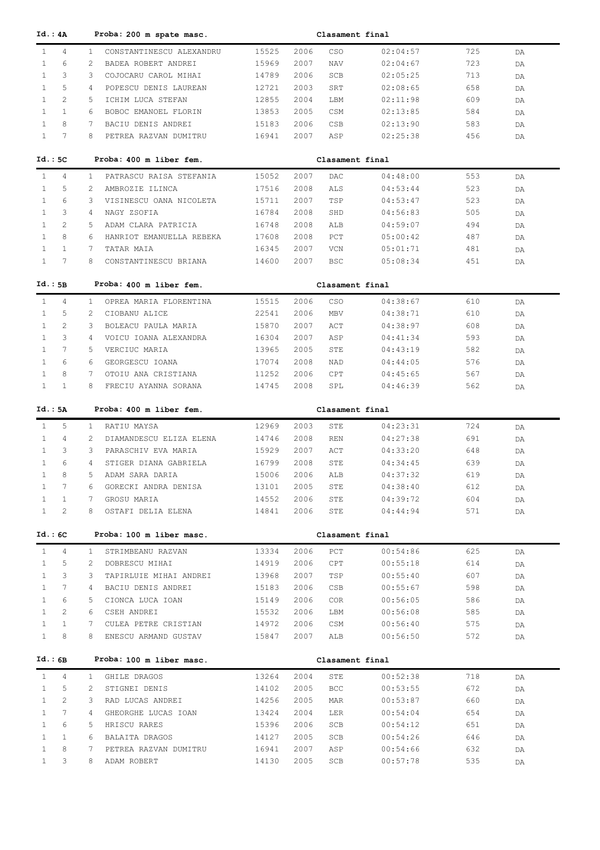| Id.: 4A      |                 | Proba: 200 m spate masc.                  |       |      | Clasament final |          |     |    |  |
|--------------|-----------------|-------------------------------------------|-------|------|-----------------|----------|-----|----|--|
| $\mathbf{1}$ | $\overline{4}$  | CONSTANTINESCU ALEXANDRU<br>$\mathbf{1}$  | 15525 | 2006 | CSO             | 02:04:57 | 725 | DA |  |
| $\mathbf{1}$ | 6               | 2<br>BADEA ROBERT ANDREI                  | 15969 | 2007 | <b>NAV</b>      | 02:04:67 | 723 | DA |  |
| $\mathbf{1}$ | 3               | 3<br>COJOCARU CAROL MIHAI                 | 14789 | 2006 | SCB             | 02:05:25 | 713 | DA |  |
| $\mathbf{1}$ | 5               | 4<br>POPESCU DENIS LAUREAN                | 12721 | 2003 | SRT             | 02:08:65 | 658 | DA |  |
| $\mathbf{1}$ | $\overline{2}$  | ICHIM LUCA STEFAN<br>5                    | 12855 | 2004 | LBM             | 02:11:98 | 609 | DA |  |
| $\mathbf{1}$ | $\mathbf{1}$    | 6<br>BOBOC EMANOEL FLORIN                 | 13853 | 2005 | CSM             | 02:13:85 | 584 |    |  |
| $\mathbf{1}$ | 8               | 7                                         |       |      |                 |          |     | DA |  |
|              |                 | BACIU DENIS ANDREI                        | 15183 | 2006 | <b>CSB</b>      | 02:13:90 | 583 | DA |  |
| $\mathbf{1}$ | $7\phantom{.0}$ | 8<br>PETREA RAZVAN DUMITRU                | 16941 | 2007 | ASP             | 02:25:38 | 456 | DA |  |
|              |                 | Proba: 400 m liber fem.                   |       |      | Clasament final |          |     |    |  |
| Id.:5C       |                 |                                           |       |      |                 |          |     |    |  |
| $\mathbf{1}$ | 4               | PATRASCU RAISA STEFANIA<br>$\mathbf{1}$   | 15052 | 2007 | DAC             | 04:48:00 | 553 | DA |  |
| $\mathbf{1}$ | 5               | 2<br>AMBROZIE ILINCA                      | 17516 | 2008 | ALS             | 04:53:44 | 523 | DA |  |
| $\mathbf{1}$ | 6               | 3<br>VISINESCU OANA NICOLETA              | 15711 | 2007 | TSP             | 04:53:47 | 523 | DA |  |
| $\mathbf{1}$ | 3               | 4<br>NAGY ZSOFIA                          | 16784 | 2008 | SHD             | 04:56:83 | 505 | DA |  |
| $\mathbf{1}$ | 2               | 5<br>ADAM CLARA PATRICIA                  | 16748 | 2008 | ALB             | 04:59:07 | 494 | DA |  |
| $\mathbf{1}$ | 8               | HANRIOT EMANUELLA REBEKA<br>6             | 17608 | 2008 | PCT             | 05:00:42 | 487 | DA |  |
| $\mathbf{1}$ | $\mathbf{1}$    | 7<br>TATAR MAIA                           | 16345 | 2007 | VCN             | 05:01:71 | 481 | DA |  |
| $\mathbf{1}$ | 7               | 8<br>CONSTANTINESCU BRIANA                | 14600 | 2007 | <b>BSC</b>      | 05:08:34 | 451 | DA |  |
|              |                 |                                           |       |      |                 |          |     |    |  |
| Id.:5B       |                 | Proba: 400 m liber fem.                   |       |      | Clasament final |          |     |    |  |
| $\mathbf{1}$ | 4               | $\mathbf{1}$<br>OPREA MARIA FLORENTINA    | 15515 | 2006 | <b>CSO</b>      | 04:38:67 | 610 |    |  |
| $\mathbf{1}$ | 5               | 2<br>CIOBANU ALICE                        | 22541 | 2006 | <b>MBV</b>      | 04:38:71 | 610 | DA |  |
| $\mathbf{1}$ | 2               | 3                                         |       | 2007 |                 | 04:38:97 | 608 | DA |  |
|              |                 | BOLEACU PAULA MARIA                       | 15870 |      | ACT             |          |     | DA |  |
| $\mathbf{1}$ | 3               | 4<br>VOICU IOANA ALEXANDRA                | 16304 | 2007 | ASP             | 04:41:34 | 593 | DA |  |
| $\mathbf{1}$ | 7               | 5.<br>VERCIUC MARIA                       | 13965 | 2005 | STE             | 04:43:19 | 582 | DA |  |
| $\mathbf{1}$ | 6               | 6<br>GEORGESCU IOANA                      | 17074 | 2008 | NAD             | 04:44:05 | 576 | DA |  |
| $\mathbf{1}$ | 8               | 7<br>OTOIU ANA CRISTIANA                  | 11252 | 2006 | CPT             | 04:45:65 | 567 | DA |  |
| $\mathbf{1}$ | $\mathbf{1}$    | 8<br>FRECIU AYANNA SORANA                 | 14745 | 2008 | SPL             | 04:46:39 | 562 | DA |  |
|              |                 |                                           |       |      |                 |          |     |    |  |
| Id.: 5A      |                 | Proba: 400 m liber fem.                   |       |      | Clasament final |          |     |    |  |
| $\mathbf{1}$ | 5               | $\mathbf{1}$<br>RATIU MAYSA               | 12969 | 2003 | STE             | 04:23:31 | 724 | DA |  |
| $\mathbf{1}$ | 4               | $\overline{2}$<br>DIAMANDESCU ELIZA ELENA | 14746 | 2008 | <b>REN</b>      | 04:27:38 | 691 | DA |  |
| $\mathbf{1}$ | 3               | 3<br>PARASCHIV EVA MARIA                  | 15929 | 2007 | ACT             | 04:33:20 | 648 | DA |  |
| $\mathbf{1}$ | 6               | 4<br>STIGER DIANA GABRIELA                | 16799 | 2008 | STE             | 04:34:45 | 639 | DA |  |
| $\mathbf{1}$ | 8               | 5.<br>ADAM SARA DARIA                     | 15006 | 2006 | ALB             | 04:37:32 | 619 | DA |  |
| $\mathbf{1}$ | 7               | GORECKI ANDRA DENISA<br>6                 | 13101 | 2005 | STE             | 04:38:40 | 612 | DA |  |
| $\mathbf{1}$ | 1               | 7<br>GROSU MARIA                          | 14552 | 2006 | STE             | 04:39:72 | 604 | DA |  |
| $\mathbf{1}$ | 2               | 8<br>OSTAFI DELIA ELENA                   | 14841 | 2006 | STE             | 04:44:94 | 571 | DA |  |
|              |                 |                                           |       |      |                 |          |     |    |  |
| Id.:6C       |                 | Proba: 100 m liber masc.                  |       |      | Clasament final |          |     |    |  |
| $\mathbf{1}$ | $\overline{4}$  | STRIMBEANU RAZVAN<br>$\mathbf{1}$         | 13334 | 2006 | PCT             | 00:54:86 | 625 | DA |  |
| $\mathbf{1}$ | 5               | 2<br>DOBRESCU MIHAI                       | 14919 | 2006 | CPT             | 00:55:18 | 614 |    |  |
|              | 3               | 3                                         |       |      |                 | 00:55:40 |     | DA |  |
| $\mathbf{1}$ | $7\phantom{.0}$ | TAPIRLUIE MIHAI ANDREI                    | 13968 | 2007 | TSP             |          | 607 | DA |  |
| $\mathbf{1}$ |                 | BACIU DENIS ANDREI<br>4                   | 15183 | 2006 | CSB             | 00:55:67 | 598 | DA |  |
| $\mathbf{1}$ | 6               | CIONCA LUCA IOAN<br>5                     | 15149 | 2006 | COR             | 00:56:05 | 586 | DA |  |
| $\mathbf{1}$ | 2               | CSEH ANDREI<br>6                          | 15532 | 2006 | LBM             | 00:56:08 | 585 | DA |  |
| $\mathbf{1}$ | $\mathbf{1}$    | CULEA PETRE CRISTIAN<br>7                 | 14972 | 2006 | CSM             | 00:56:40 | 575 | DA |  |
| $\mathbf{1}$ | 8               | ENESCU ARMAND GUSTAV<br>8                 | 15847 | 2007 | ALB             | 00:56:50 | 572 | DA |  |
|              |                 |                                           |       |      |                 |          |     |    |  |
| Id.:6B       |                 | Proba: 100 m liber masc.                  |       |      | Clasament final |          |     |    |  |
| $\mathbf{1}$ | $\overline{4}$  | GHILE DRAGOS<br>$\mathbf{1}$              | 13264 | 2004 | STE             | 00:52:38 | 718 | DA |  |
| $\mathbf{1}$ | 5               | $\overline{2}$<br>STIGNEI DENIS           | 14102 | 2005 | <b>BCC</b>      | 00:53:55 | 672 | DA |  |
| $\mathbf{1}$ | 2               | RAD LUCAS ANDREI<br>3                     | 14256 | 2005 | MAR             | 00:53:87 | 660 | DA |  |
| $\mathbf{1}$ | 7               | GHEORGHE LUCAS IOAN<br>4                  | 13424 | 2004 | LER             | 00:54:04 | 654 | DA |  |
| $\mathbf{1}$ | 6               | HRISCU RARES<br>5                         | 15396 | 2006 | SCB             | 00:54:12 | 651 | DA |  |
| $\mathbf{1}$ | $\mathbf{1}$    | BALAITA DRAGOS<br>6                       | 14127 | 2005 | SCB             | 00:54:26 | 646 | DA |  |
|              |                 |                                           |       |      |                 |          |     |    |  |
| $\mathbf{1}$ | 8               | PETREA RAZVAN DUMITRU<br>7                | 16941 | 2007 | ASP             | 00:54:66 | 632 | DA |  |
| $\mathbf{1}$ | 3               | 8<br>ADAM ROBERT                          | 14130 | 2005 | SCB             | 00:57:78 | 535 | DA |  |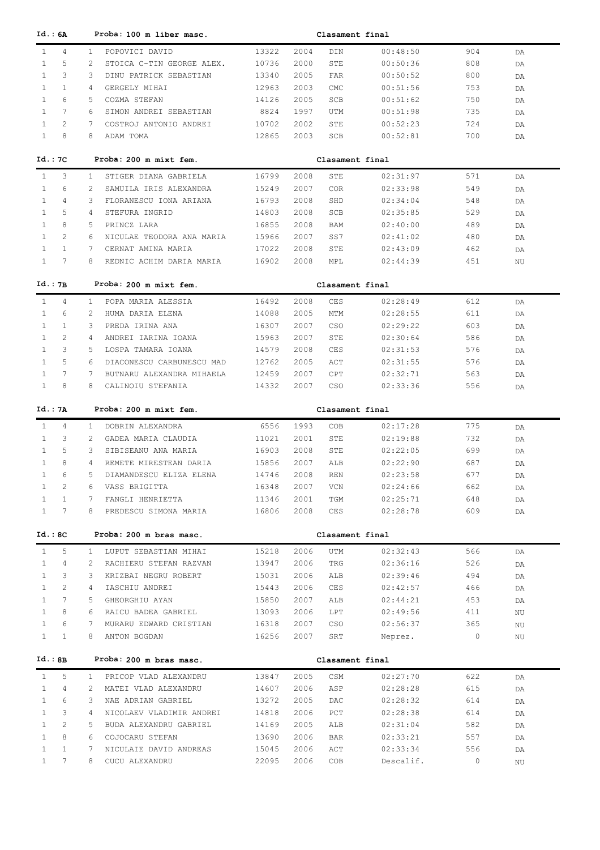| Id.: 6A                                           |                | Proba: 100 m liber masc.               |                |              | Clasament final |          |                |    |
|---------------------------------------------------|----------------|----------------------------------------|----------------|--------------|-----------------|----------|----------------|----|
| $\mathbf{1}$<br>4                                 | $\mathbf{1}$   | POPOVICI DAVID                         | 13322          | 2004         | DIN             | 00:48:50 | 904            | DA |
| $\mathbf{1}$<br>5                                 | 2              | STOICA C-TIN GEORGE ALEX.              | 10736          | 2000         | STE             | 00:50:36 | 808            | DA |
| 3<br>$\mathbf{1}$                                 | 3              | DINU PATRICK SEBASTIAN                 | 13340          | 2005         | FAR             | 00:50:52 | 800            | DA |
| $\mathbf{1}$<br>$\mathbf{1}$                      | 4              | GERGELY MIHAI                          | 12963          | 2003         | <b>CMC</b>      | 00:51:56 | 753            | DA |
| $\mathbf{1}$<br>6                                 | 5              | COZMA STEFAN                           | 14126          | 2005         | SCB             | 00:51:62 | 750            | DA |
| $7\phantom{.0}$<br>$\mathbf{1}$                   | 6              | SIMON ANDREI SEBASTIAN                 | 8824           | 1997         | UTM             | 00:51:98 | 735            | DA |
| $\mathbf{1}$<br>2                                 | 7              | COSTROJ ANTONIO ANDREI                 | 10702          | 2002         | STE             | 00:52:23 | 724            | DA |
| 8<br>$\mathbf{1}$                                 | 8              | ADAM TOMA                              | 12865          | 2003         | SCB             | 00:52:81 | 700            | DA |
|                                                   |                |                                        |                |              |                 |          |                |    |
| Id. : 7C                                          |                | Proba: 200 m mixt fem.                 |                |              | Clasament final |          |                |    |
| 3<br>$\mathbf{1}$                                 | $\mathbf{1}$   | STIGER DIANA GABRIELA                  | 16799          | 2008         | STE             | 02:31:97 | 571            | DA |
| 6<br>1                                            | 2              | SAMUILA IRIS ALEXANDRA                 | 15249          | 2007         | <b>COR</b>      | 02:33:98 | 549            | DA |
| 4<br>1                                            | 3              | FLORANESCU IONA ARIANA                 | 16793          | 2008         | SHD             | 02:34:04 | 548            | DA |
| 5<br>1                                            | 4              | STEFURA INGRID                         | 14803          | 2008         | SCB             | 02:35:85 | 529            | DA |
| 8<br>1                                            | 5              | PRINCZ LARA                            | 16855          | 2008         | BAM             | 02:40:00 | 489            | DA |
| 2<br>1                                            | 6              | NICULAE TEODORA ANA MARIA              | 15966          | 2007         | SS7             | 02:41:02 | 480            | DA |
| $\mathbf{1}$<br>1                                 | 7              | CERNAT AMINA MARIA                     | 17022          | 2008         | STE             | 02:43:09 | 462            | DA |
| 7<br>$\mathbf{1}$                                 | 8              | REDNIC ACHIM DARIA MARIA               | 16902          | 2008         | MPL             | 02:44:39 | 451            | NU |
| Id.:7B                                            |                | Proba: 200 m mixt fem.                 |                |              | Clasament final |          |                |    |
|                                                   |                |                                        |                |              |                 |          |                |    |
| $\mathbf{1}$<br>4                                 | $\mathbf{1}$   | POPA MARIA ALESSIA                     | 16492          | 2008         | CES             | 02:28:49 | 612            | DA |
| $\mathbf{1}$<br>6                                 | 2              | HUMA DARIA ELENA                       | 14088          | 2005         | MTM             | 02:28:55 | 611            | DA |
| $\mathbf{1}$<br>$\mathbf{1}$                      | 3              | PREDA IRINA ANA                        | 16307          | 2007         | CSO             | 02:29:22 | 603            | DA |
| $\overline{2}$<br>$\mathbf{1}$                    | 4              | ANDREI IARINA IOANA                    | 15963          | 2007         | STE             | 02:30:64 | 586            | DA |
| 3<br>$\mathbf{1}$                                 | 5              | LOSPA TAMARA IOANA                     | 14579          | 2008         | CES             | 02:31:53 | 576            | DA |
| 5<br>$\mathbf{1}$                                 | 6              | DIACONESCU CARBUNESCU MAD              | 12762          | 2005         | ACT             | 02:31:55 | 576            | DA |
| 7<br>$\mathbf{1}$                                 | 7              | BUTNARU ALEXANDRA MIHAELA              | 12459          | 2007         | CPT             | 02:32:71 | 563            | DA |
| $\mathbf{1}$<br>8                                 | 8              | CALINOIU STEFANIA                      | 14332          | 2007         | CSO             | 02:33:36 | 556            | DA |
|                                                   |                | Proba: 200 m mixt fem.                 |                |              |                 |          |                |    |
|                                                   |                |                                        |                |              |                 |          |                |    |
| Id.: 7A                                           |                |                                        |                |              | Clasament final |          |                |    |
| 4<br>$\mathbf{1}$                                 | $\mathbf{1}$   | DOBRIN ALEXANDRA                       | 6556           | 1993         | COB             | 02:17:28 | 775            | DA |
| 3<br>$\mathbf{1}$                                 | 2              | GADEA MARIA CLAUDIA                    | 11021          | 2001         | STE             | 02:19:88 | 732            | DA |
| 5<br>1                                            | 3              | SIBISEANU ANA MARIA                    | 16903          | 2008         | STE             | 02:22:05 | 699            | DA |
| 8<br>$\mathbf{1}$                                 | 4              | REMETE MIRESTEAN DARIA                 | 15856          | 2007         | ALB             | 02:22:90 | 687            | DA |
| 6<br>$\mathbf{1}$                                 | 5              | DIAMANDESCU ELIZA ELENA                | 14746          | 2008         | <b>REN</b>      | 02:23:58 | 677            | DA |
| 2                                                 | 6              | VASS BRIGITTA                          | 16348          | 2007         | VCN             | 02:24:66 | 662            | DA |
| $\mathbf{1}$<br>$\mathbf{1}$                      | 7              | FANGLI HENRIETTA                       | 11346          | 2001         | TGM             | 02:25:71 | 648            | DA |
| $7\phantom{.0}$<br>$\mathbf{1}$                   | 8              | PREDESCU SIMONA MARIA                  | 16806          | 2008         | CES             | 02:28:78 | 609            | DA |
| Id.: 8C                                           |                | Proba: 200 m bras masc.                |                |              | Clasament final |          |                |    |
|                                                   |                |                                        |                |              |                 |          |                |    |
| 5<br>$\mathbf{1}$                                 | $\mathbf{1}$   | LUPUT SEBASTIAN MIHAI                  | 15218          | 2006         | UTM             | 02:32:43 | 566            | DA |
| 4<br>$\mathbf{1}$                                 | 2              | RACHIERU STEFAN RAZVAN                 | 13947          | 2006         | TRG             | 02:36:16 | 526            | DA |
| 3<br>$\mathbf{1}$                                 | 3              | KRIZBAI NEGRU ROBERT                   | 15031          | 2006         | ALB             | 02:39:46 | 494            | DA |
| $\mathbf{2}$<br>$\mathbf{1}$                      | $\overline{4}$ | IASCHIU ANDREI                         | 15443          | 2006         | CES             | 02:42:57 | 466            | DA |
| $7\phantom{.0}$<br>$\mathbf{1}$                   | 5              | GHEORGHIU AYAN                         | 15850          | 2007         | ALB             | 02:44:21 | 453            | DA |
| 8<br>$\mathbf{1}$                                 | 6              | RAICU BADEA GABRIEL                    | 13093          | 2006         | LPT             | 02:49:56 | 411            | ΝU |
| 6<br>$\mathbf{1}$<br>$\mathbf{1}$<br>$\mathbf{1}$ | 7<br>8         | MURARU EDWARD CRISTIAN<br>ANTON BOGDAN | 16318<br>16256 | 2007<br>2007 | CSO<br>SRT      | 02:56:37 | 365<br>$\circ$ | ΝU |
|                                                   |                |                                        |                |              |                 | Neprez.  |                | ΝU |
| Id.:BB                                            |                | Proba: 200 m bras masc.                |                |              | Clasament final |          |                |    |
| $\mathbf{1}$<br>5                                 | $\mathbf{1}$   | PRICOP VLAD ALEXANDRU                  | 13847          | 2005         | CSM             | 02:27:70 | 622            | DA |
| $\mathbf{1}$<br>4                                 | 2              | MATEI VLAD ALEXANDRU                   | 14607          | 2006         | ASP             | 02:28:28 | 615            | DA |
| 6<br>$\mathbf{1}$                                 | 3              | NAE ADRIAN GABRIEL                     | 13272          | 2005         | DAC             | 02:28:32 | 614            | DA |
| 3<br>$\mathbf{1}$                                 | $\overline{4}$ | NICOLAEV VLADIMIR ANDREI               | 14818          | 2006         | PCT             | 02:28:38 | 614            | DA |
| $\mathbf{2}^{\prime}$<br>$\mathbf{1}$             | 5              | BUDA ALEXANDRU GABRIEL                 | 14169          | 2005         | ALB             | 02:31:04 | 582            | DA |
| 8<br>$\mathbf{1}$                                 | 6              | COJOCARU STEFAN                        | 13690          | 2006         | BAR             | 02:33:21 | 557            | DA |
| $\mathbf{1}$<br>$\mathbf{1}$<br>$7\phantom{.}$    | 7              | NICULAIE DAVID ANDREAS                 | 15045          | 2006         | ACT             | 02:33:34 | 556            | DA |